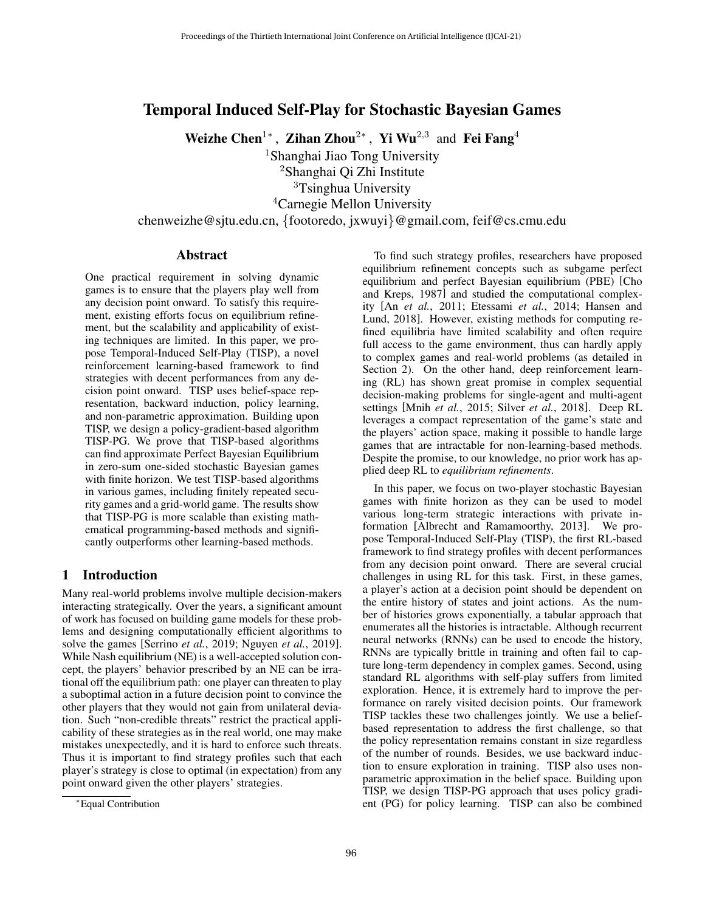# Temporal Induced Self-Play for Stochastic Bayesian Games

Weizhe Chen<sup>1</sup>\*, Zihan Zhou<sup>2</sup>\*, Yi Wu<sup>2,3</sup> and Fei Fang<sup>4</sup>

<sup>1</sup>Shanghai Jiao Tong University

<sup>2</sup>Shanghai Qi Zhi Institute

<sup>3</sup>Tsinghua University

<sup>4</sup>Carnegie Mellon University

chenweizhe@sjtu.edu.cn, {footoredo, jxwuyi}@gmail.com, feif@cs.cmu.edu

## Abstract

One practical requirement in solving dynamic games is to ensure that the players play well from any decision point onward. To satisfy this requirement, existing efforts focus on equilibrium refinement, but the scalability and applicability of existing techniques are limited. In this paper, we propose Temporal-Induced Self-Play (TISP), a novel reinforcement learning-based framework to find strategies with decent performances from any decision point onward. TISP uses belief-space representation, backward induction, policy learning, and non-parametric approximation. Building upon TISP, we design a policy-gradient-based algorithm TISP-PG. We prove that TISP-based algorithms can find approximate Perfect Bayesian Equilibrium in zero-sum one-sided stochastic Bayesian games with finite horizon. We test TISP-based algorithms in various games, including finitely repeated security games and a grid-world game. The results show that TISP-PG is more scalable than existing mathematical programming-based methods and significantly outperforms other learning-based methods.

## 1 Introduction

Many real-world problems involve multiple decision-makers interacting strategically. Over the years, a significant amount of work has focused on building game models for these problems and designing computationally efficient algorithms to solve the games [\[Serrino](#page-7-0) *et al.*, 2019; [Nguyen](#page-7-1) *et al.*, 2019]. While Nash equilibrium (NE) is a well-accepted solution concept, the players' behavior prescribed by an NE can be irrational off the equilibrium path: one player can threaten to play a suboptimal action in a future decision point to convince the other players that they would not gain from unilateral deviation. Such "non-credible threats" restrict the practical applicability of these strategies as in the real world, one may make mistakes unexpectedly, and it is hard to enforce such threats. Thus it is important to find strategy profiles such that each player's strategy is close to optimal (in expectation) from any point onward given the other players' strategies.

To find such strategy profiles, researchers have proposed equilibrium refinement concepts such as subgame perfect equilibrium and perfect Bayesian equilibrium (PBE) [\[Cho](#page-7-2) [and Kreps, 1987\]](#page-7-2) and studied the computational complexity [An *et al.*[, 2011;](#page-7-3) [Etessami](#page-7-4) *et al.*, 2014; [Hansen and](#page-7-5) [Lund, 2018\]](#page-7-5). However, existing methods for computing refined equilibria have limited scalability and often require full access to the game environment, thus can hardly apply to complex games and real-world problems (as detailed in Section [2\)](#page-1-0). On the other hand, deep reinforcement learning (RL) has shown great promise in complex sequential decision-making problems for single-agent and multi-agent settings [Mnih *et al.*[, 2015;](#page-7-6) Silver *et al.*[, 2018\]](#page-7-7). Deep RL leverages a compact representation of the game's state and the players' action space, making it possible to handle large games that are intractable for non-learning-based methods. Despite the promise, to our knowledge, no prior work has applied deep RL to *equilibrium refinements*.

In this paper, we focus on two-player stochastic Bayesian games with finite horizon as they can be used to model various long-term strategic interactions with private information [\[Albrecht and Ramamoorthy, 2013\]](#page-6-0). We propose Temporal-Induced Self-Play (TISP), the first RL-based framework to find strategy profiles with decent performances from any decision point onward. There are several crucial challenges in using RL for this task. First, in these games, a player's action at a decision point should be dependent on the entire history of states and joint actions. As the number of histories grows exponentially, a tabular approach that enumerates all the histories is intractable. Although recurrent neural networks (RNNs) can be used to encode the history, RNNs are typically brittle in training and often fail to capture long-term dependency in complex games. Second, using standard RL algorithms with self-play suffers from limited exploration. Hence, it is extremely hard to improve the performance on rarely visited decision points. Our framework TISP tackles these two challenges jointly. We use a beliefbased representation to address the first challenge, so that the policy representation remains constant in size regardless of the number of rounds. Besides, we use backward induction to ensure exploration in training. TISP also uses nonparametric approximation in the belief space. Building upon TISP, we design TISP-PG approach that uses policy gradient (PG) for policy learning. TISP can also be combined

<sup>∗</sup>Equal Contribution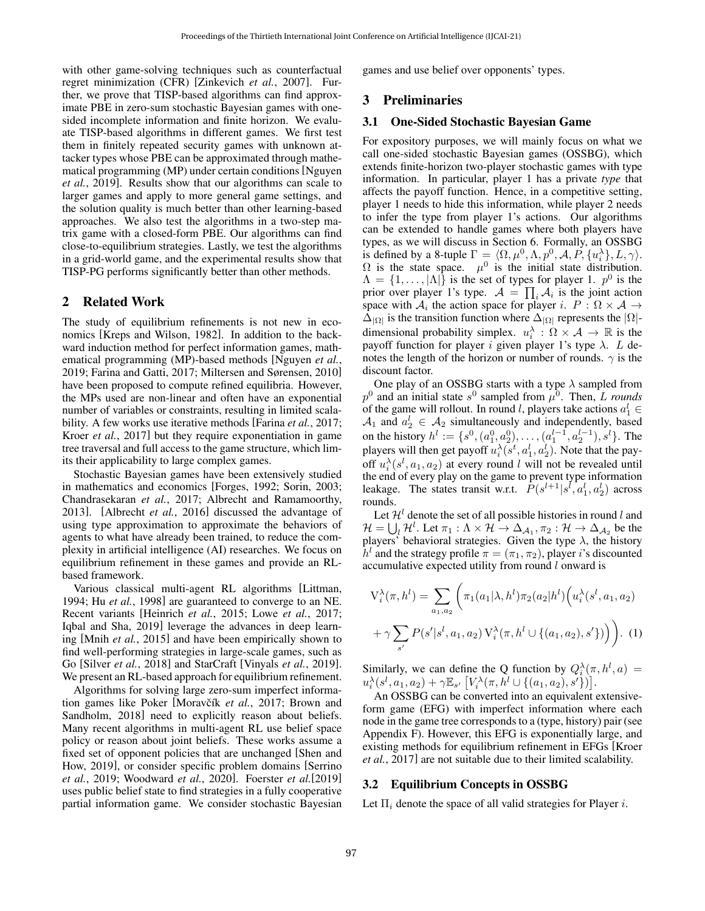with other game-solving techniques such as counterfactual regret minimization (CFR) [\[Zinkevich](#page-7-8) *et al.*, 2007]. Further, we prove that TISP-based algorithms can find approximate PBE in zero-sum stochastic Bayesian games with onesided incomplete information and finite horizon. We evaluate TISP-based algorithms in different games. We first test them in finitely repeated security games with unknown attacker types whose PBE can be approximated through mathematical programming (MP) under certain conditions [\[Nguyen](#page-7-1) *et al.*[, 2019\]](#page-7-1). Results show that our algorithms can scale to larger games and apply to more general game settings, and the solution quality is much better than other learning-based approaches. We also test the algorithms in a two-step matrix game with a closed-form PBE. Our algorithms can find close-to-equilibrium strategies. Lastly, we test the algorithms in a grid-world game, and the experimental results show that TISP-PG performs significantly better than other methods.

### <span id="page-1-0"></span>2 Related Work

The study of equilibrium refinements is not new in economics [\[Kreps and Wilson, 1982\]](#page-7-9). In addition to the backward induction method for perfect information games, mathematical programming (MP)-based methods [\[Nguyen](#page-7-1) *et al.*, [2019;](#page-7-1) [Farina and Gatti, 2017;](#page-7-10) [Miltersen and Sørensen, 2010\]](#page-7-11) have been proposed to compute refined equilibria. However, the MPs used are non-linear and often have an exponential number of variables or constraints, resulting in limited scalability. A few works use iterative methods [\[Farina](#page-7-12) *et al.*, 2017; Kroer *et al.*[, 2017\]](#page-7-13) but they require exponentiation in game tree traversal and full access to the game structure, which limits their applicability to large complex games.

Stochastic Bayesian games have been extensively studied in mathematics and economics [\[Forges, 1992;](#page-7-14) [Sorin, 2003;](#page-7-15) [Chandrasekaran](#page-7-16) *et al.*, 2017; [Albrecht and Ramamoorthy,](#page-6-0) [2013\]](#page-6-0). [\[Albrecht](#page-7-17) *et al.*, 2016] discussed the advantage of using type approximation to approximate the behaviors of agents to what have already been trained, to reduce the complexity in artificial intelligence (AI) researches. We focus on equilibrium refinement in these games and provide an RLbased framework.

Various classical multi-agent RL algorithms [\[Littman,](#page-7-18) [1994;](#page-7-18) Hu *et al.*[, 1998\]](#page-7-19) are guaranteed to converge to an NE. Recent variants [\[Heinrich](#page-7-20) *et al.*, 2015; Lowe *et al.*[, 2017;](#page-7-21) [Iqbal and Sha, 2019\]](#page-7-22) leverage the advances in deep learning [Mnih *et al.*[, 2015\]](#page-7-6) and have been empirically shown to find well-performing strategies in large-scale games, such as Go [Silver *et al.*[, 2018\]](#page-7-7) and StarCraft [\[Vinyals](#page-7-23) *et al.*, 2019]. We present an RL-based approach for equilibrium refinement.

Algorithms for solving large zero-sum imperfect informa-tion games like Poker [Moravčík et al., 2017; [Brown and](#page-7-25) [Sandholm, 2018\]](#page-7-25) need to explicitly reason about beliefs. Many recent algorithms in multi-agent RL use belief space policy or reason about joint beliefs. These works assume a fixed set of opponent policies that are unchanged [\[Shen and](#page-7-26) [How, 2019\]](#page-7-26), or consider specific problem domains [\[Serrino](#page-7-0) *et al.*[, 2019;](#page-7-0) [Woodward](#page-7-27) *et al.*, 2020]. Foerster *et al.*[\[2019\]](#page-7-28) uses public belief state to find strategies in a fully cooperative partial information game. We consider stochastic Bayesian games and use belief over opponents' types.

## 3 Preliminaries

### 3.1 One-Sided Stochastic Bayesian Game

For expository purposes, we will mainly focus on what we call one-sided stochastic Bayesian games (OSSBG), which extends finite-horizon two-player stochastic games with type information. In particular, player 1 has a private *type* that affects the payoff function. Hence, in a competitive setting, player 1 needs to hide this information, while player 2 needs to infer the type from player 1's actions. Our algorithms can be extended to handle games where both players have types, as we will discuss in Section [6.](#page-6-1) Formally, an OSSBG is defined by a 8-tuple  $\Gamma = \langle \Omega, \mu^0, \Lambda, p^0, \mathcal{A}, P, \{u_i^{\lambda}\}, L, \gamma \rangle$ .  $\Omega$  is the state space.  $\mu^0$  is the initial state distribution.  $\Lambda = \{1, \ldots, |\Lambda|\}$  is the set of types for player 1.  $p^0$  is the prior over player 1's type.  $\mathcal{A} = \prod_i \mathcal{A}_i$  is the joint action space with  $A_i$  the action space for player i.  $P : \Omega \times A \rightarrow$  $\Delta_{|\Omega|}$  is the transition function where  $\Delta_{|\Omega|}$  represents the  $|\Omega|$ dimensional probability simplex.  $u_i^{\lambda} : \Omega \times \mathcal{A} \to \mathbb{R}$  is the payoff function for player i given player 1's type  $\lambda$ . L denotes the length of the horizon or number of rounds.  $\gamma$  is the discount factor.

One play of an OSSBG starts with a type  $\lambda$  sampled from  $p^0$  and an initial state  $s^0$  sampled from  $\mu^0$ . Then, L *rounds* of the game will rollout. In round l, players take actions  $a_1^l \in$  $A_1$  and  $a_2^l \in A_2$  simultaneously and independently, based on the history  $h^l := \{s^0, (a_1^0, a_2^0), \dots, (a_1^{l-1}, a_2^{l-1}), s^l\}$ . The players will then get payoff  $u_i^{\lambda}(s^t, a_1^l, a_2^l)$ . Note that the payoff  $u_i^{\lambda}(s^l, a_1, a_2)$  at every round l will not be revealed until the end of every play on the game to prevent type information leakage. The states transit w.r.t.  $\hat{P}(s^{l+1}|s^l, a_1^l, a_2^l)$  across rounds.

Let  $\mathcal{H}^{l}$  denote the set of all possible histories in round l and  $\mathcal{H}=\bigcup_{l}\mathcal{H}^l.$  Let  $\pi_1:\Lambda\times\mathcal{H}\to\Delta_{\mathcal{A}_1},\pi_2:\mathcal{H}\to\Delta_{\mathcal{A}_2}$  be the players' behavioral strategies. Given the type  $\lambda$ , the history  $\hat{h}^l$  and the strategy profile  $\pi = (\pi_1, \pi_2)$ , player i's discounted accumulative expected utility from round  $l$  onward is

$$
V_i^{\lambda}(\pi, h^l) = \sum_{a_1, a_2} \left( \pi_1(a_1 | \lambda, h^l) \pi_2(a_2 | h^l) \left( u_i^{\lambda}(s^l, a_1, a_2) + \gamma \sum_{s'} P(s' | s^l, a_1, a_2) V_i^{\lambda}(\pi, h^l \cup \{(a_1, a_2), s'\}) \right) \right).
$$
 (1)

Similarly, we can define the Q function by  $Q_i^{\lambda}(\pi, h^l, a) =$  $u_i^{\lambda}(s^l,a_1,a_2) + \gamma \mathbb{E}_{s'}\left[V_i^{\lambda}(\pi,h^l \cup \{(a_1,a_2),s'\})\right].$ 

An OSSBG can be converted into an equivalent extensiveform game (EFG) with imperfect information where each node in the game tree corresponds to a (type, history) pair (see Appendix F). However, this EFG is exponentially large, and existing methods for equilibrium refinement in EFGs [\[Kroer](#page-7-13) *et al.*[, 2017\]](#page-7-13) are not suitable due to their limited scalability.

### 3.2 Equilibrium Concepts in OSSBG

Let  $\Pi_i$  denote the space of all valid strategies for Player i.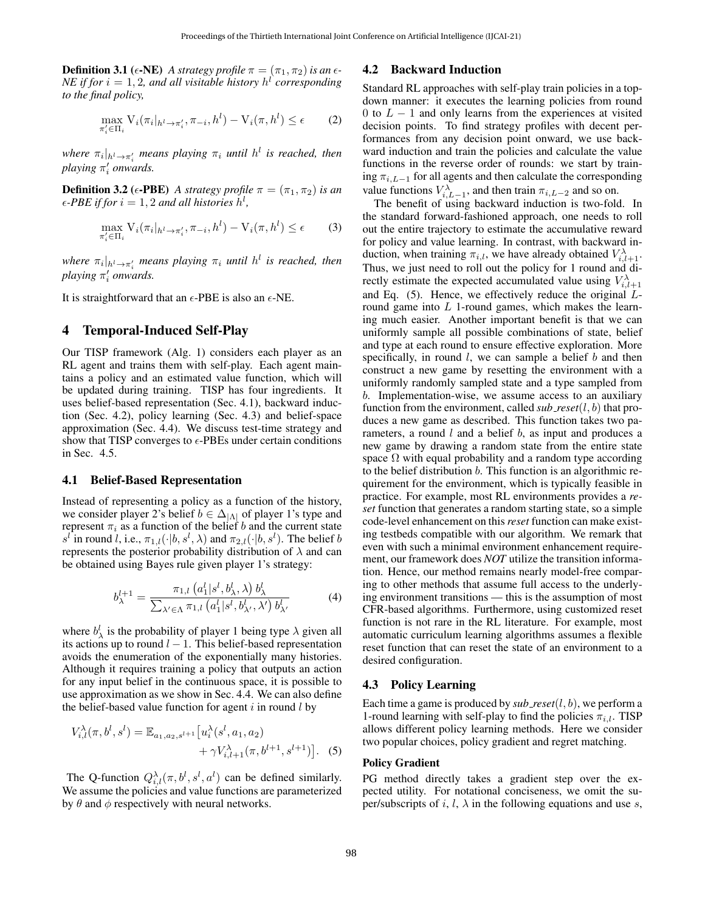**Definition 3.1** ( $\epsilon$ -NE) *A strategy profile*  $\pi = (\pi_1, \pi_2)$  *is an*  $\epsilon$ -*NE* if for  $i = 1, 2$ , and all visitable history  $h^l$  corresponding *to the final policy,*

$$
\max_{\pi'_i \in \Pi_i} V_i(\pi_i|_{h^l \to \pi'_i}, \pi_{-i}, h^l) - V_i(\pi, h^l) \le \epsilon \tag{2}
$$

 $\omega$ *where*  $\pi_i|_{h^l \to \pi_i'}$  means playing  $\pi_i$  *until*  $h^l$  *is reached, then playing*  $\pi'_i$  *onwards.* 

**Definition 3.2** ( $\epsilon$ -PBE) *A strategy profile*  $\pi = (\pi_1, \pi_2)$  *is an*  $\epsilon$ -PBE if for  $i = 1, 2$  and all histories  $h^l$ ,

$$
\max_{\pi'_i \in \Pi_i} V_i(\pi_i|_{h^l \to \pi'_i}, \pi_{-i}, h^l) - V_i(\pi, h^l) \le \epsilon \tag{3}
$$

 $\emph{where $\pi_i|_{h^l \to \pi'_i}$ means playing $\pi_i$ until $h^l$ is reached, then}$ *playing*  $π'$ <sub>*i*</sub> *onwards.* 

It is straightforward that an  $\epsilon$ -PBE is also an  $\epsilon$ -NE.

## 4 Temporal-Induced Self-Play

Our TISP framework (Alg. [1\)](#page-3-0) considers each player as an RL agent and trains them with self-play. Each agent maintains a policy and an estimated value function, which will be updated during training. TISP has four ingredients. It uses belief-based representation (Sec. [4.1\)](#page-2-0), backward induction (Sec. [4.2\)](#page-2-1), policy learning (Sec. [4.3\)](#page-2-2) and belief-space approximation (Sec. [4.4\)](#page-3-1). We discuss test-time strategy and show that TISP converges to  $\epsilon$ -PBEs under certain conditions in Sec. [4.5.](#page-3-2)

### <span id="page-2-0"></span>4.1 Belief-Based Representation

Instead of representing a policy as a function of the history, we consider player 2's belief  $b \in \Delta_{|\Lambda|}$  of player 1's type and represent  $\pi_i$  as a function of the belief b and the current state  $s^l$  in round l, i.e.,  $\pi_{1,l}(\cdot|b, s^l, \lambda)$  and  $\pi_{2,l}(\cdot|b, s^l)$ . The belief b represents the posterior probability distribution of  $\lambda$  and can be obtained using Bayes rule given player 1's strategy:

$$
b_{\lambda}^{l+1} = \frac{\pi_{1,l} (a_1^l | s^l, b_{\lambda}^l, \lambda) b_{\lambda}^l}{\sum_{\lambda' \in \Lambda} \pi_{1,l} (a_1^l | s^l, b_{\lambda'}^l, \lambda') b_{\lambda'}^l}
$$
(4)

where  $b^l_\lambda$  is the probability of player 1 being type  $\lambda$  given all its actions up to round  $l - 1$ . This belief-based representation avoids the enumeration of the exponentially many histories. Although it requires training a policy that outputs an action for any input belief in the continuous space, it is possible to use approximation as we show in Sec. [4.4.](#page-3-1) We can also define the belief-based value function for agent  $i$  in round  $l$  by

$$
V_{i,l}^{\lambda}(\pi, b^l, s^l) = \mathbb{E}_{a_1, a_2, s^{l+1}} \left[ u_i^{\lambda}(s^l, a_1, a_2) + \gamma V_{i,l+1}^{\lambda}(\pi, b^{l+1}, s^{l+1}) \right].
$$
 (5)

The Q-function  $Q_{i,l}^{\lambda}(\pi, b^l, s^l, a^l)$  can be defined similarly. We assume the policies and value functions are parameterized by  $\theta$  and  $\phi$  respectively with neural networks.

### <span id="page-2-1"></span>4.2 Backward Induction

Standard RL approaches with self-play train policies in a topdown manner: it executes the learning policies from round 0 to  $L - 1$  and only learns from the experiences at visited decision points. To find strategy profiles with decent performances from any decision point onward, we use backward induction and train the policies and calculate the value functions in the reverse order of rounds: we start by training  $\pi_{i,L-1}$  for all agents and then calculate the corresponding value functions  $V_{i,L-1}^{\lambda}$ , and then train  $\pi_{i,L-2}$  and so on.

The benefit of using backward induction is two-fold. In the standard forward-fashioned approach, one needs to roll out the entire trajectory to estimate the accumulative reward for policy and value learning. In contrast, with backward induction, when training  $\pi_{i,l}$ , we have already obtained  $V_{i,l+1}^{\lambda}$ . Thus, we just need to roll out the policy for 1 round and directly estimate the expected accumulated value using  $V^{\lambda}_{i,l+1}$ and Eq. [\(5\)](#page-2-3). Hence, we effectively reduce the original Lround game into  $L$  1-round games, which makes the learning much easier. Another important benefit is that we can uniformly sample all possible combinations of state, belief and type at each round to ensure effective exploration. More specifically, in round  $l$ , we can sample a belief  $b$  and then construct a new game by resetting the environment with a uniformly randomly sampled state and a type sampled from b. Implementation-wise, we assume access to an auxiliary function from the environment, called  $sub\_reset(l, b)$  that produces a new game as described. This function takes two parameters, a round  $l$  and a belief  $b$ , as input and produces a new game by drawing a random state from the entire state space  $\Omega$  with equal probability and a random type according to the belief distribution b. This function is an algorithmic requirement for the environment, which is typically feasible in practice. For example, most RL environments provides a *reset* function that generates a random starting state, so a simple code-level enhancement on this*reset* function can make existing testbeds compatible with our algorithm. We remark that even with such a minimal environment enhancement requirement, our framework does *NOT* utilize the transition information. Hence, our method remains nearly model-free comparing to other methods that assume full access to the underlying environment transitions — this is the assumption of most CFR-based algorithms. Furthermore, using customized reset function is not rare in the RL literature. For example, most automatic curriculum learning algorithms assumes a flexible reset function that can reset the state of an environment to a desired configuration.

#### <span id="page-2-4"></span><span id="page-2-2"></span>4.3 Policy Learning

Each time a game is produced by  $sub\_reset(l, b)$ , we perform a 1-round learning with self-play to find the policies  $\pi_{i,l}$ . TISP allows different policy learning methods. Here we consider two popular choices, policy gradient and regret matching.

#### <span id="page-2-3"></span>Policy Gradient

PG method directly takes a gradient step over the expected utility. For notational conciseness, we omit the super/subscripts of i, l,  $\lambda$  in the following equations and use s,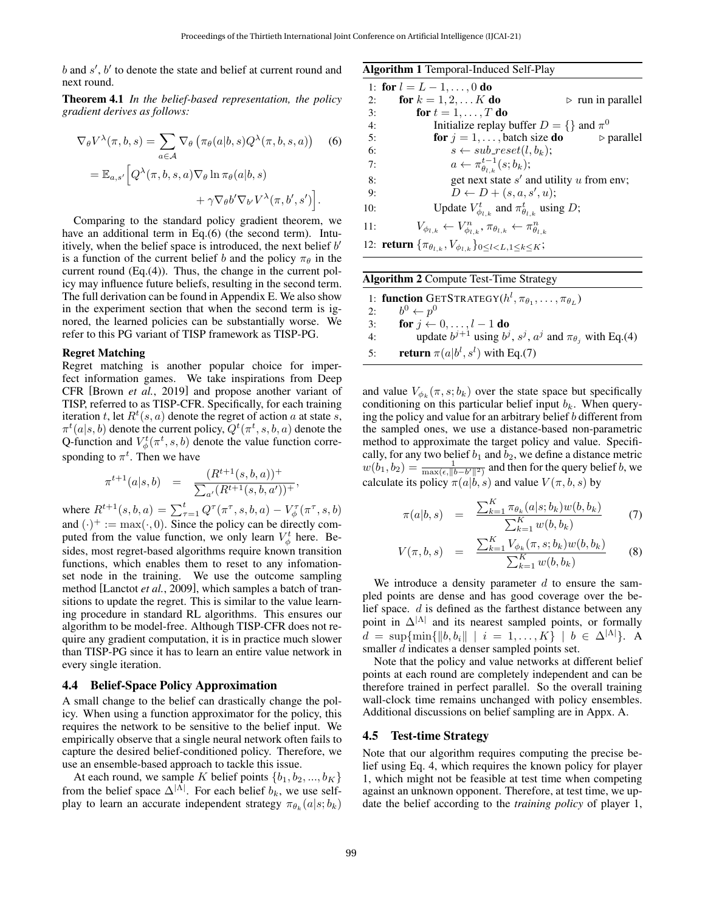$b$  and  $s'$ ,  $b'$  to denote the state and belief at current round and next round.

Theorem 4.1 *In the belief-based representation, the policy gradient derives as follows:*

$$
\nabla_{\theta} V^{\lambda}(\pi, b, s) = \sum_{a \in \mathcal{A}} \nabla_{\theta} \left( \pi_{\theta}(a|b, s) Q^{\lambda}(\pi, b, s, a) \right)
$$
 (6)

$$
= \mathbb{E}_{a,s'} \Big[ Q^{\lambda}(\pi,b,s,a) \nabla_{\theta} \ln \pi_{\theta}(a|b,s) + \gamma \nabla_{\theta} b' \nabla_{b'} V^{\lambda}(\pi,b',s') \Big].
$$

Comparing to the standard policy gradient theorem, we have an additional term in Eq.[\(6\)](#page-3-3) (the second term). Intuitively, when the belief space is introduced, the next belief  $b'$ is a function of the current belief b and the policy  $\pi_{\theta}$  in the current round (Eq.[\(4\)](#page-2-4)). Thus, the change in the current policy may influence future beliefs, resulting in the second term. The full derivation can be found in Appendix E. We also show in the experiment section that when the second term is ignored, the learned policies can be substantially worse. We refer to this PG variant of TISP framework as TISP-PG.

### Regret Matching

Regret matching is another popular choice for imperfect information games. We take inspirations from Deep CFR [Brown *et al.*[, 2019\]](#page-7-29) and propose another variant of TISP, referred to as TISP-CFR. Specifically, for each training iteration t, let  $R^t(s, a)$  denote the regret of action a at state s,  $\pi^t(a|s,b)$  denote the current policy,  $Q^t(\pi^t, s, b, a)$  denote the Q-function and  $V^t_{\phi}(\pi^t, s, b)$  denote the value function corresponding to  $\pi^t$ . Then we have

$$
\pi^{t+1}(a|s,b) = \frac{(R^{t+1}(s,b,a))^+}{\sum_{a'} (R^{t+1}(s,b,a'))^+},
$$

where  $R^{t+1}(s, b, a) = \sum_{\tau=1}^{t} Q^{\tau}(\pi^{\tau}, s, b, a) - V_{\phi}^{\tau}(\pi^{\tau}, s, b)$ and  $(\cdot)^+ := \max(\cdot, 0)$ . Since the policy can be directly computed from the value function, we only learn  $V^t_{\phi}$  here. Besides, most regret-based algorithms require known transition functions, which enables them to reset to any infomationset node in the training. We use the outcome sampling method [\[Lanctot](#page-7-30) *et al.*, 2009], which samples a batch of transitions to update the regret. This is similar to the value learning procedure in standard RL algorithms. This ensures our algorithm to be model-free. Although TISP-CFR does not require any gradient computation, it is in practice much slower than TISP-PG since it has to learn an entire value network in every single iteration.

### <span id="page-3-1"></span>4.4 Belief-Space Policy Approximation

A small change to the belief can drastically change the policy. When using a function approximator for the policy, this requires the network to be sensitive to the belief input. We empirically observe that a single neural network often fails to capture the desired belief-conditioned policy. Therefore, we use an ensemble-based approach to tackle this issue.

At each round, we sample K belief points  $\{b_1, b_2, ..., b_K\}$ from the belief space  $\Delta^{|\Lambda|}$ . For each belief  $b_k$ , we use selfplay to learn an accurate independent strategy  $\pi_{\theta_k}(a|s;b_k)$ 

<span id="page-3-0"></span>Algorithm 1 Temporal-Induced Self-Play

<span id="page-3-3"></span>

|     | 1: for $l = L - 1, \ldots, 0$ do                                                                 |  |
|-----|--------------------------------------------------------------------------------------------------|--|
| 2:  | <b>for</b> $k = 1, 2,  K$ <b>do</b><br>$\triangleright$ run in parallel                          |  |
| 3:  | for $t = 1, \ldots, T$ do                                                                        |  |
| 4:  | Initialize replay buffer $D = \{\}$ and $\pi^0$                                                  |  |
| 5:  | for $j = 1, \ldots$ , batch size do<br>$\triangleright$ parallel                                 |  |
| 6:  | $s \leftarrow sub\_reset(l, b_k);$                                                               |  |
| 7:  | $a \leftarrow \pi_{\theta_{l}}^{t-1}(s;b_k);$                                                    |  |
| 8:  | get next state $s'$ and utility $u$ from env;                                                    |  |
| 9:  | $D \leftarrow D + (s, a, s', u);$                                                                |  |
| 10: | Update $V_{\phi_{l,k}}^t$ and $\pi_{\theta_{l,k}}^t$ using D;                                    |  |
| 11: | $V_{\phi_{l,k}} \leftarrow V_{\phi_{l,k}}^n, \pi_{\theta_{l,k}} \leftarrow \pi_{\theta_{l,k}}^n$ |  |
|     | 12: <b>return</b> $\{\pi_{\theta_{l,k}}, V_{\phi_{l,k}}\}_{0 \leq l \leq L, 1 \leq k \leq K}$ ;  |  |

<span id="page-3-5"></span>

| Algorithm 2 Compute Test-Time Strategy |  |  |
|----------------------------------------|--|--|
|                                        |  |  |

|    | 1: function GETSTRATEGY $(h^l, \pi_{\theta_1}, \ldots, \pi_{\theta_L})$       |
|----|-------------------------------------------------------------------------------|
|    | 2: $b^0 \leftarrow p^0$                                                       |
| 3: | for $j \leftarrow 0, \ldots, l-1$ do                                          |
| 4: | update $b^{j+1}$ using $b^j$ , $s^j$ , $a^j$ and $\pi_{\theta_i}$ with Eq.(4) |
| 5: | <b>return</b> $\pi(a b^l, s^l)$ with Eq.(7)                                   |

and value  $V_{\phi_k}(\pi, s; b_k)$  over the state space but specifically conditioning on this particular belief input  $b_k$ . When querying the policy and value for an arbitrary belief b different from the sampled ones, we use a distance-based non-parametric method to approximate the target policy and value. Specifically, for any two belief  $b_1$  and  $b_2$ , we define a distance metric  $w(b_1, b_2) = \frac{1}{\max(\epsilon, ||b - b'||^2)}$  and then for the query belief b, we calculate its policy  $\pi(a|b, s)$  and value  $V(\pi, b, s)$  by

<span id="page-3-4"></span>
$$
\pi(a|b,s) = \frac{\sum_{k=1}^{K} \pi_{\theta_k}(a|s;b_k)w(b,b_k)}{\sum_{k=1}^{K} w(b,b_k)}
$$
(7)

$$
V(\pi, b, s) = \frac{\sum_{k=1}^{K} V_{\phi_k}(\pi, s; b_k) w(b, b_k)}{\sum_{k=1}^{K} w(b, b_k)}
$$
(8)

We introduce a density parameter  $d$  to ensure the sampled points are dense and has good coverage over the belief space. d is defined as the farthest distance between any point in  $\Delta^{|\Lambda|}$  and its nearest sampled points, or formally  $d = \sup\{\min\{\|b, b_i\| \mid i = 1, ..., K\} \mid b \in \Delta^{|\Lambda|}\}.$  A smaller d indicates a denser sampled points set.

Note that the policy and value networks at different belief points at each round are completely independent and can be therefore trained in perfect parallel. So the overall training wall-clock time remains unchanged with policy ensembles. Additional discussions on belief sampling are in Appx. A.

### <span id="page-3-2"></span>4.5 Test-time Strategy

Note that our algorithm requires computing the precise belief using Eq. [4,](#page-2-4) which requires the known policy for player 1, which might not be feasible at test time when competing against an unknown opponent. Therefore, at test time, we update the belief according to the *training policy* of player 1,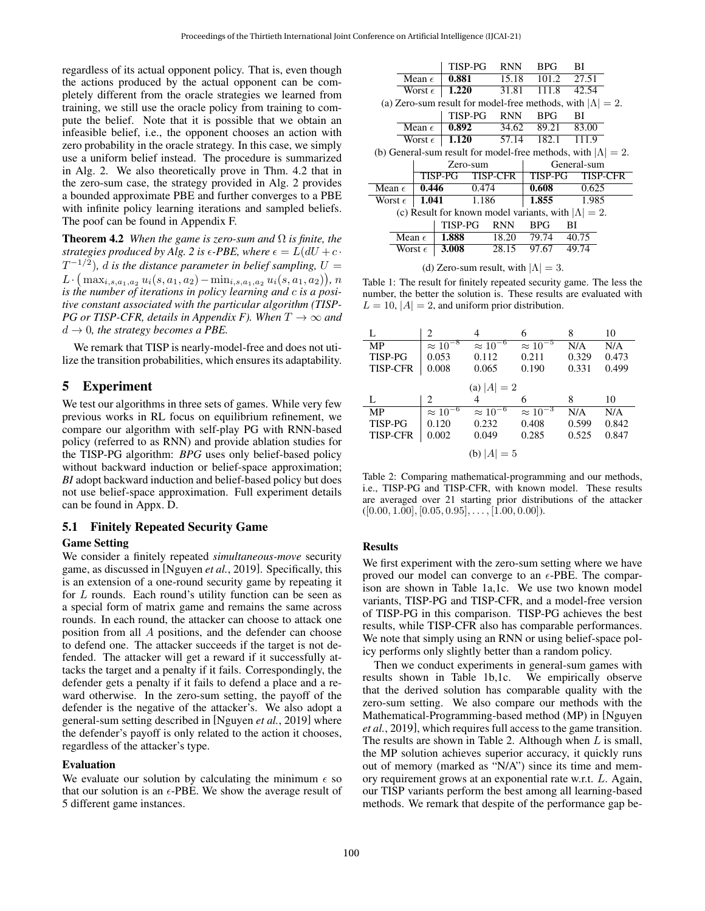regardless of its actual opponent policy. That is, even though the actions produced by the actual opponent can be completely different from the oracle strategies we learned from training, we still use the oracle policy from training to compute the belief. Note that it is possible that we obtain an infeasible belief, i.e., the opponent chooses an action with zero probability in the oracle strategy. In this case, we simply use a uniform belief instead. The procedure is summarized in Alg. [2.](#page-3-5) We also theoretically prove in Thm. [4.2](#page-4-0) that in the zero-sum case, the strategy provided in Alg. [2](#page-3-5) provides a bounded approximate PBE and further converges to a PBE with infinite policy learning iterations and sampled beliefs. The poof can be found in Appendix F.

<span id="page-4-0"></span>**Theorem 4.2** *When the game is zero-sum and*  $\Omega$  *is finite, the strategies produced by Alg.* [2](#page-3-5) *is*  $\epsilon$ -*PBE*, where  $\epsilon = L(dU + c \cdot$  $T^{-1/2}$ ), d is the distance parameter in belief sampling,  $U=$  $L \cdot \big(\max_{i,s,a_1,a_2} u_i(s,a_1,a_2) - \min_{i,s,a_1,a_2} u_i(s,a_1,a_2)\big), n$ *is the number of iterations in policy learning and* c *is a positive constant associated with the particular algorithm (TISP-PG or TISP-CFR, details in Appendix F). When*  $T \rightarrow \infty$  *and*  $d \rightarrow 0$ , the strategy becomes a PBE.

We remark that TISP is nearly-model-free and does not utilize the transition probabilities, which ensures its adaptability.

## 5 Experiment

We test our algorithms in three sets of games. While very few previous works in RL focus on equilibrium refinement, we compare our algorithm with self-play PG with RNN-based policy (referred to as RNN) and provide ablation studies for the TISP-PG algorithm: *BPG* uses only belief-based policy without backward induction or belief-space approximation; *BI* adopt backward induction and belief-based policy but does not use belief-space approximation. Full experiment details can be found in Appx. D.

## 5.1 Finitely Repeated Security Game

### Game Setting

We consider a finitely repeated *simultaneous-move* security game, as discussed in [\[Nguyen](#page-7-1) *et al.*, 2019]. Specifically, this is an extension of a one-round security game by repeating it for  $L$  rounds. Each round's utility function can be seen as a special form of matrix game and remains the same across rounds. In each round, the attacker can choose to attack one position from all A positions, and the defender can choose to defend one. The attacker succeeds if the target is not defended. The attacker will get a reward if it successfully attacks the target and a penalty if it fails. Correspondingly, the defender gets a penalty if it fails to defend a place and a reward otherwise. In the zero-sum setting, the payoff of the defender is the negative of the attacker's. We also adopt a general-sum setting described in [\[Nguyen](#page-7-1) *et al.*, 2019] where the defender's payoff is only related to the action it chooses, regardless of the attacker's type.

#### Evaluation

We evaluate our solution by calculating the minimum  $\epsilon$  so that our solution is an  $\epsilon$ -PBE. We show the average result of 5 different game instances.

<span id="page-4-1"></span>

|                                                                       |                 |                  | TISP-PG<br><b>RNN</b>                                       |                 | BPG.           | BI                                                                 |
|-----------------------------------------------------------------------|-----------------|------------------|-------------------------------------------------------------|-----------------|----------------|--------------------------------------------------------------------|
| Mean $\epsilon$                                                       |                 | 0.881            | 15.18                                                       |                 | 27.51<br>101.2 |                                                                    |
| Worst $\epsilon$                                                      |                 | 1.220            | 31.81                                                       | 111.8           | 42.54          |                                                                    |
|                                                                       |                 |                  |                                                             |                 |                | (a) Zero-sum result for model-free methods, with $ \Lambda  = 2$ . |
|                                                                       |                 |                  | TISP-PG                                                     | <b>RNN</b>      | <b>BPG</b>     | BI                                                                 |
|                                                                       |                 | Mean $\epsilon$  | 0.892                                                       |                 | 34.62 89.21    | 83.00                                                              |
|                                                                       |                 | Worst $\epsilon$ | 1.120                                                       | 57.14 182.1     |                | 111.9                                                              |
| (b) General-sum result for model-free methods, with $ \Lambda  = 2$ . |                 |                  |                                                             |                 |                |                                                                    |
|                                                                       |                 |                  |                                                             |                 |                |                                                                    |
|                                                                       |                 |                  | Zero-sum                                                    |                 |                | General-sum                                                        |
|                                                                       |                 |                  | TISP-PG                                                     | <b>TISP-CFR</b> | TISP-PG        | <b>TISP-CFR</b>                                                    |
| Mean $\epsilon$                                                       |                 | 0.446            | 0.474                                                       |                 | 0.608          | 0.625                                                              |
| Worst $\epsilon$                                                      |                 | 1.041            | 1.186                                                       |                 | 1.855          | 1.985                                                              |
|                                                                       |                 |                  | (c) Result for known model variants, with $ \Lambda  = 2$ . |                 |                |                                                                    |
|                                                                       |                 |                  | TISP-PG                                                     | <b>RNN</b>      | <b>BPG</b>     | ВI                                                                 |
|                                                                       | Mean $\epsilon$ |                  | 1.888                                                       | 18.20           | 79.74          | 40.75                                                              |

(d) Zero-sum result, with  $|\Lambda| = 3$ .

Table 1: The result for finitely repeated security game. The less the number, the better the solution is. These results are evaluated with  $L = 10$ ,  $|A| = 2$ , and uniform prior distribution.

<span id="page-4-2"></span>

| L               | 2                             | 4                 | 6                 | 8     | 10    |
|-----------------|-------------------------------|-------------------|-------------------|-------|-------|
| MP              | $\approx 10^{-8}$             | $\approx 10^{-6}$ | $\approx 10^{-5}$ | N/A   | N/A   |
| <b>TISP-PG</b>  | 0.053                         | 0.112             | 0.211             | 0.329 | 0.473 |
| <b>TISP-CFR</b> | 0.008                         | 0.065             | 0.190             | 0.331 | 0.499 |
|                 |                               | (a) $ A  = 2$     |                   |       |       |
|                 |                               |                   |                   |       |       |
| L               | $\mathfrak{D}_{\mathfrak{p}}$ | $\overline{4}$    | 6                 | 8     | 10    |
| <b>MP</b>       | $\approx 10^{-6}$             | $\approx 10^{-6}$ | $\approx 10^{-3}$ | N/A   | N/A   |
| <b>TISP-PG</b>  | 0.120                         | 0.232             | 0.408             | 0.599 | 0.842 |
| <b>TISP-CFR</b> | 0.002                         | 0.049             | 0.285             | 0.525 | 0.847 |

Table 2: Comparing mathematical-programming and our methods, i.e., TISP-PG and TISP-CFR, with known model. These results are averaged over 21 starting prior distributions of the attacker  $([0.00, 1.00], [0.05, 0.95], \ldots, [1.00, 0.00]).$ 

### Results

We first experiment with the zero-sum setting where we have proved our model can converge to an  $\epsilon$ -PBE. The comparison are shown in Table [1a,1c.](#page-4-1) We use two known model variants, TISP-PG and TISP-CFR, and a model-free version of TISP-PG in this comparison. TISP-PG achieves the best results, while TISP-CFR also has comparable performances. We note that simply using an RNN or using belief-space policy performs only slightly better than a random policy.

Then we conduct experiments in general-sum games with results shown in Table [1b,1c.](#page-4-1) We empirically observe that the derived solution has comparable quality with the zero-sum setting. We also compare our methods with the Mathematical-Programming-based method (MP) in [\[Nguyen](#page-7-1) *et al.*[, 2019\]](#page-7-1), which requires full access to the game transition. The results are shown in Table [2.](#page-4-2) Although when  $L$  is small, the MP solution achieves superior accuracy, it quickly runs out of memory (marked as "N/A") since its time and memory requirement grows at an exponential rate w.r.t. L. Again, our TISP variants perform the best among all learning-based methods. We remark that despite of the performance gap be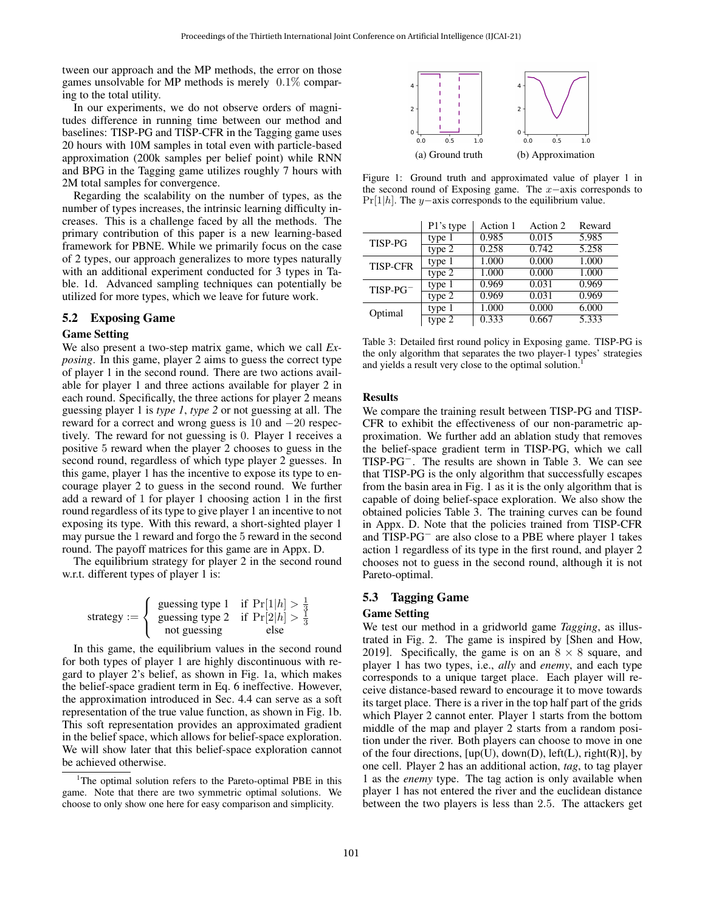tween our approach and the MP methods, the error on those games unsolvable for MP methods is merely 0.1% comparing to the total utility.

In our experiments, we do not observe orders of magnitudes difference in running time between our method and baselines: TISP-PG and TISP-CFR in the Tagging game uses 20 hours with 10M samples in total even with particle-based approximation (200k samples per belief point) while RNN and BPG in the Tagging game utilizes roughly 7 hours with 2M total samples for convergence.

Regarding the scalability on the number of types, as the number of types increases, the intrinsic learning difficulty increases. This is a challenge faced by all the methods. The primary contribution of this paper is a new learning-based framework for PBNE. While we primarily focus on the case of 2 types, our approach generalizes to more types naturally with an additional experiment conducted for 3 types in Table. [1d.](#page-4-1) Advanced sampling techniques can potentially be utilized for more types, which we leave for future work.

### 5.2 Exposing Game

### Game Setting

We also present a two-step matrix game, which we call *Exposing*. In this game, player 2 aims to guess the correct type of player 1 in the second round. There are two actions available for player 1 and three actions available for player 2 in each round. Specifically, the three actions for player 2 means guessing player 1 is *type 1*, *type 2* or not guessing at all. The reward for a correct and wrong guess is 10 and −20 respectively. The reward for not guessing is 0. Player 1 receives a positive 5 reward when the player 2 chooses to guess in the second round, regardless of which type player 2 guesses. In this game, player 1 has the incentive to expose its type to encourage player 2 to guess in the second round. We further add a reward of 1 for player 1 choosing action 1 in the first round regardless of its type to give player 1 an incentive to not exposing its type. With this reward, a short-sighted player 1 may pursue the 1 reward and forgo the 5 reward in the second round. The payoff matrices for this game are in Appx. D.

The equilibrium strategy for player 2 in the second round w.r.t. different types of player 1 is:

strategy := 
$$
\begin{cases} \text{guessing type 1} & \text{if } \Pr[1|h] > \frac{1}{3} \\ \text{guessing type 2} & \text{if } \Pr[2|h] > \frac{1}{3} \\ \text{not guessing} & \text{else} \end{cases}
$$

In this game, the equilibrium values in the second round for both types of player 1 are highly discontinuous with regard to player 2's belief, as shown in Fig. [1a,](#page-5-0) which makes the belief-space gradient term in Eq. [6](#page-3-3) ineffective. However, the approximation introduced in Sec. [4.4](#page-3-1) can serve as a soft representation of the true value function, as shown in Fig. [1b.](#page-5-0) This soft representation provides an approximated gradient in the belief space, which allows for belief-space exploration. We will show later that this belief-space exploration cannot be achieved otherwise.

<span id="page-5-0"></span>

Figure 1: Ground truth and approximated value of player 1 in the second round of Exposing game. The x−axis corresponds to Pr[1|h]. The y−axis corresponds to the equilibrium value.

<span id="page-5-2"></span>

|                 | P1's type | Action 1 | Action 2 | Reward |
|-----------------|-----------|----------|----------|--------|
| <b>TISP-PG</b>  | type 1    | 0.985    | 0.015    | 5.985  |
|                 | type $2$  | 0.258    | 0.742    | 5.258  |
| <b>TISP-CFR</b> | type 1    | 1.000    | 0.000    | 1.000  |
|                 | type $2$  | 1.000    | 0.000    | 1.000  |
| $TISP-PG^-$     | type 1    | 0.969    | 0.031    | 0.969  |
|                 | type 2    | 0.969    | 0.031    | 0.969  |
| Optimal         | type 1    | 1.000    | 0.000    | 6.000  |
|                 | type 2    | 0.333    | 0.667    | 5.333  |

Table 3: Detailed first round policy in Exposing game. TISP-PG is the only algorithm that separates the two player-1 types' strategies and yields a result very close to the optimal solution.

### Results

We compare the training result between TISP-PG and TISP-CFR to exhibit the effectiveness of our non-parametric approximation. We further add an ablation study that removes the belief-space gradient term in TISP-PG, which we call TISP-PG<sup>−</sup>. The results are shown in Table [3.](#page-5-2) We can see that TISP-PG is the only algorithm that successfully escapes from the basin area in Fig. [1](#page-5-0) as it is the only algorithm that is capable of doing belief-space exploration. We also show the obtained policies Table [3.](#page-5-2) The training curves can be found in Appx. D. Note that the policies trained from TISP-CFR and TISP-PG<sup>−</sup> are also close to a PBE where player 1 takes action 1 regardless of its type in the first round, and player 2 chooses not to guess in the second round, although it is not Pareto-optimal.

### 5.3 Tagging Game

#### Game Setting

We test our method in a gridworld game *Tagging*, as illustrated in Fig. [2.](#page-6-2) The game is inspired by [\[Shen and How,](#page-7-26) [2019\]](#page-7-26). Specifically, the game is on an  $8 \times 8$  square, and player 1 has two types, i.e., *ally* and *enemy*, and each type corresponds to a unique target place. Each player will receive distance-based reward to encourage it to move towards its target place. There is a river in the top half part of the grids which Player 2 cannot enter. Player 1 starts from the bottom middle of the map and player 2 starts from a random position under the river. Both players can choose to move in one of the four directions,  $[up(U), down(D), left(L), right(R)], by$ one cell. Player 2 has an additional action, *tag*, to tag player 1 as the *enemy* type. The tag action is only available when player 1 has not entered the river and the euclidean distance between the two players is less than 2.5. The attackers get

<span id="page-5-1"></span><sup>&</sup>lt;sup>1</sup>The optimal solution refers to the Pareto-optimal PBE in this game. Note that there are two symmetric optimal solutions. We choose to only show one here for easy comparison and simplicity.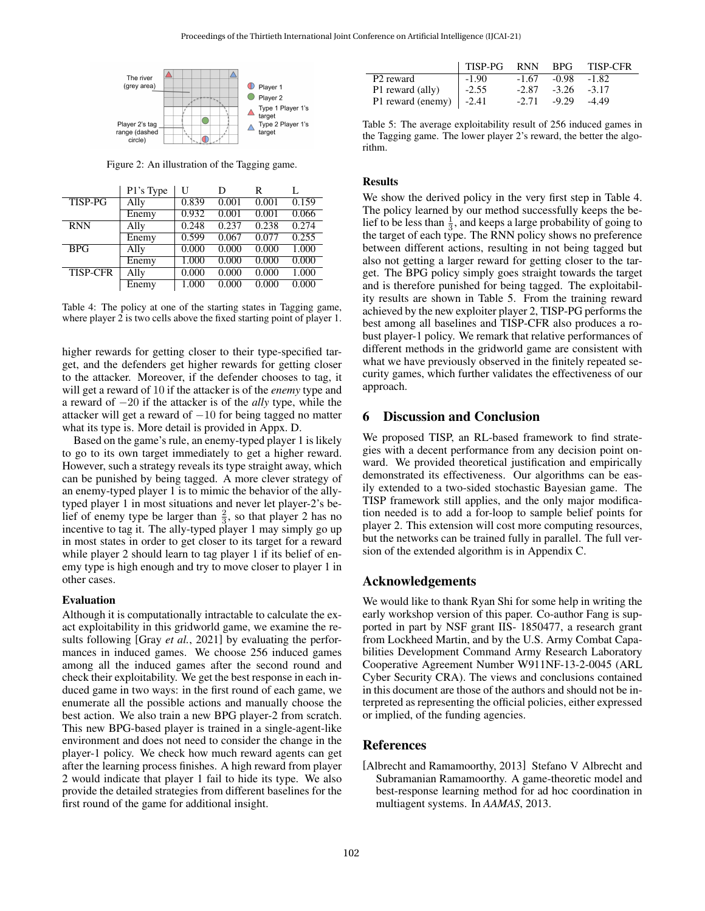<span id="page-6-2"></span>

Figure 2: An illustration of the Tagging game.

<span id="page-6-3"></span>

|                 | P1's Type | U     | D     | R     |       |
|-----------------|-----------|-------|-------|-------|-------|
| <b>TISP-PG</b>  | Ally      | 0.839 | 0.001 | 0.001 | 0.159 |
|                 | Enemy     | 0.932 | 0.001 | 0.001 | 0.066 |
| <b>RNN</b>      | Ally      | 0.248 | 0.237 | 0.238 | 0.274 |
|                 | Enemy     | 0.599 | 0.067 | 0.077 | 0.255 |
| <b>BPG</b>      | Ally      | 0.000 | 0.000 | 0.000 | 1.000 |
|                 | Enemy     | 1.000 | 0.000 | 0.000 | 0.000 |
| <b>TISP-CFR</b> | Ally      | 0.000 | 0.000 | 0.000 | 1.000 |
|                 | Enemy     | 1.000 | 0.000 | 0.000 | 0.000 |

Table 4: The policy at one of the starting states in Tagging game, where player 2 is two cells above the fixed starting point of player 1.

higher rewards for getting closer to their type-specified target, and the defenders get higher rewards for getting closer to the attacker. Moreover, if the defender chooses to tag, it will get a reward of 10 if the attacker is of the *enemy* type and a reward of −20 if the attacker is of the *ally* type, while the attacker will get a reward of  $-10$  for being tagged no matter what its type is. More detail is provided in Appx. D.

Based on the game's rule, an enemy-typed player 1 is likely to go to its own target immediately to get a higher reward. However, such a strategy reveals its type straight away, which can be punished by being tagged. A more clever strategy of an enemy-typed player 1 is to mimic the behavior of the allytyped player 1 in most situations and never let player-2's belief of enemy type be larger than  $\frac{2}{3}$ , so that player 2 has no incentive to tag it. The ally-typed player 1 may simply go up in most states in order to get closer to its target for a reward while player 2 should learn to tag player 1 if its belief of enemy type is high enough and try to move closer to player 1 in other cases.

### Evaluation

Although it is computationally intractable to calculate the exact exploitability in this gridworld game, we examine the results following [Gray *et al.*[, 2021\]](#page-7-31) by evaluating the performances in induced games. We choose 256 induced games among all the induced games after the second round and check their exploitability. We get the best response in each induced game in two ways: in the first round of each game, we enumerate all the possible actions and manually choose the best action. We also train a new BPG player-2 from scratch. This new BPG-based player is trained in a single-agent-like environment and does not need to consider the change in the player-1 policy. We check how much reward agents can get after the learning process finishes. A high reward from player 2 would indicate that player 1 fail to hide its type. We also provide the detailed strategies from different baselines for the first round of the game for additional insight.

<span id="page-6-4"></span>

|                                 | $\perp$ TISP-PG $\perp$ | <b>RNN</b> | <b>BPG</b>     | <b>TISP-CFR</b> |
|---------------------------------|-------------------------|------------|----------------|-----------------|
| P <sub>2</sub> reward           | $  -1.90 $              | $-1.67$    | -0.98          | $-1.82$         |
| P1 reward (ally)                | $1 - 2.55$              | $-2.87$    | $-3.26 - 3.17$ |                 |
| P1 reward (enemy) $\vert$ -2.41 |                         | $-2.71$    | $-9.29$        | -4.49           |

Table 5: The average exploitability result of 256 induced games in the Tagging game. The lower player 2's reward, the better the algorithm.

## Results

We show the derived policy in the very first step in Table [4.](#page-6-3) The policy learned by our method successfully keeps the belief to be less than  $\frac{1}{3}$ , and keeps a large probability of going to the target of each type. The RNN policy shows no preference between different actions, resulting in not being tagged but also not getting a larger reward for getting closer to the target. The BPG policy simply goes straight towards the target and is therefore punished for being tagged. The exploitability results are shown in Table [5.](#page-6-4) From the training reward achieved by the new exploiter player 2, TISP-PG performs the best among all baselines and TISP-CFR also produces a robust player-1 policy. We remark that relative performances of different methods in the gridworld game are consistent with what we have previously observed in the finitely repeated security games, which further validates the effectiveness of our approach.

## <span id="page-6-1"></span>6 Discussion and Conclusion

We proposed TISP, an RL-based framework to find strategies with a decent performance from any decision point onward. We provided theoretical justification and empirically demonstrated its effectiveness. Our algorithms can be easily extended to a two-sided stochastic Bayesian game. The TISP framework still applies, and the only major modification needed is to add a for-loop to sample belief points for player 2. This extension will cost more computing resources, but the networks can be trained fully in parallel. The full version of the extended algorithm is in Appendix C.

### Acknowledgements

We would like to thank Ryan Shi for some help in writing the early workshop version of this paper. Co-author Fang is supported in part by NSF grant IIS- 1850477, a research grant from Lockheed Martin, and by the U.S. Army Combat Capabilities Development Command Army Research Laboratory Cooperative Agreement Number W911NF-13-2-0045 (ARL Cyber Security CRA). The views and conclusions contained in this document are those of the authors and should not be interpreted as representing the official policies, either expressed or implied, of the funding agencies.

### References

<span id="page-6-0"></span>[Albrecht and Ramamoorthy, 2013] Stefano V Albrecht and Subramanian Ramamoorthy. A game-theoretic model and best-response learning method for ad hoc coordination in multiagent systems. In *AAMAS*, 2013.